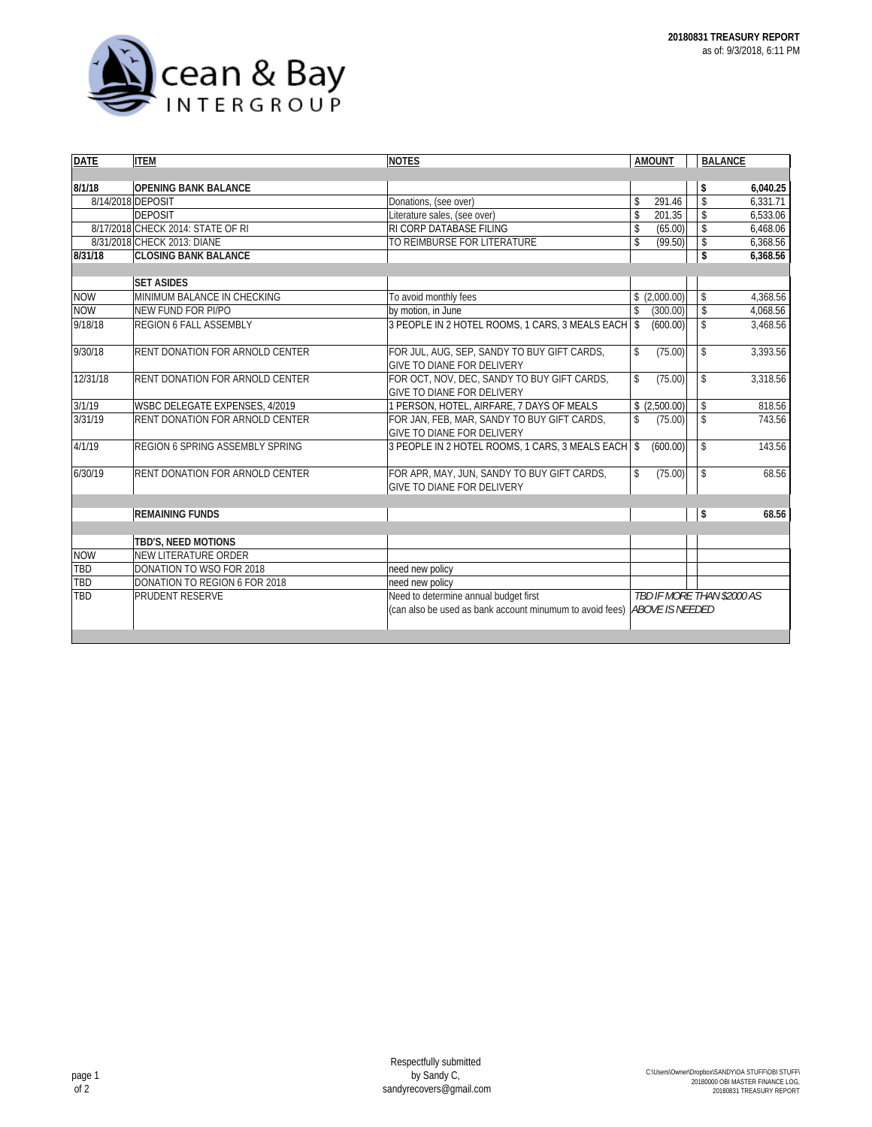

| <b>DATE</b> | <b>ITEM</b>                            | <b>NOTES</b>                                                                     | <b>AMOUNT</b>              | <b>BALANCE</b>     |          |
|-------------|----------------------------------------|----------------------------------------------------------------------------------|----------------------------|--------------------|----------|
|             |                                        |                                                                                  |                            |                    |          |
| 8/1/18      | <b>OPENING BANK BALANCE</b>            |                                                                                  |                            | \$                 | 6,040.25 |
|             | 8/14/2018 DEPOSIT                      | Donations, (see over)                                                            | 291.46<br>\$               | \$                 | 6.331.71 |
|             | <b>DEPOSIT</b>                         | Literature sales, (see over)                                                     | \$<br>201.35               | \$                 | 6,533.06 |
|             | 8/17/2018 CHECK 2014: STATE OF RI      | RI CORP DATABASE FILING                                                          | \$<br>(65.00)              | \$                 | 6,468.06 |
|             | 8/31/2018 CHECK 2013: DIANE            | TO REIMBURSE FOR LITERATURE                                                      | \$<br>(99.50)              | \$                 | 6,368.56 |
| 8/31/18     | <b>CLOSING BANK BALANCE</b>            |                                                                                  |                            | \$                 | 6,368.56 |
|             |                                        |                                                                                  |                            |                    |          |
|             | <b>SET ASIDES</b>                      |                                                                                  |                            |                    |          |
| <b>NOW</b>  | MINIMUM BALANCE IN CHECKING            | To avoid monthly fees                                                            | \$(2,000.00)               | \$                 | 4,368.56 |
| <b>NOW</b>  | NEW FUND FOR PI/PO                     | by motion, in June                                                               | (300.00)<br>\$             | \$                 | 4,068.56 |
| 9/18/18     | <b>REGION 6 FALL ASSEMBLY</b>          | 3 PEOPLE IN 2 HOTEL ROOMS, 1 CARS, 3 MEALS EACH                                  | $\mathbb{S}$<br>(600.00)   | $\mathbf{\hat{z}}$ | 3,468.56 |
| 9/30/18     | <b>RENT DONATION FOR ARNOLD CENTER</b> | FOR JUL, AUG, SEP, SANDY TO BUY GIFT CARDS,<br><b>GIVE TO DIANE FOR DELIVERY</b> | \$<br>(75.00)              | \$                 | 3,393.56 |
| 12/31/18    | <b>RENT DONATION FOR ARNOLD CENTER</b> | FOR OCT, NOV, DEC, SANDY TO BUY GIFT CARDS,<br>GIVE TO DIANE FOR DELIVERY        | \$<br>(75.00)              | \$                 | 3,318.56 |
| 3/1/19      | <b>WSBC DELEGATE EXPENSES, 4/2019</b>  | 1 PERSON, HOTEL, AIRFARE, 7 DAYS OF MEALS                                        | \$(2,500.00)               | \$                 | 818.56   |
| 3/31/19     | <b>RENT DONATION FOR ARNOLD CENTER</b> | FOR JAN, FEB, MAR, SANDY TO BUY GIFT CARDS,<br><b>GIVE TO DIANE FOR DELIVERY</b> | \$<br>(75.00)              | \$                 | 743.56   |
| 4/1/19      | <b>REGION 6 SPRING ASSEMBLY SPRING</b> | 3 PEOPLE IN 2 HOTEL ROOMS, 1 CARS, 3 MEALS EACH                                  | \$<br>(600.00)             | \$                 | 143.56   |
| 6/30/19     | <b>RENT DONATION FOR ARNOLD CENTER</b> | FOR APR, MAY, JUN, SANDY TO BUY GIFT CARDS,<br><b>GIVE TO DIANE FOR DELIVERY</b> | (75.00)<br>\$              | $\mathbb{S}$       | 68.56    |
|             | <b>REMAINING FUNDS</b>                 |                                                                                  |                            | \$                 | 68.56    |
|             | TBD'S, NEED MOTIONS                    |                                                                                  |                            |                    |          |
| <b>NOW</b>  | NEW LITERATURE ORDER                   |                                                                                  |                            |                    |          |
| TBD         | DONATION TO WSO FOR 2018               | need new policy                                                                  |                            |                    |          |
| TBD         | DONATION TO REGION 6 FOR 2018          | need new policy                                                                  |                            |                    |          |
| TBD         | <b>PRUDENT RESERVE</b>                 | Need to determine annual budget first                                            | TBD IF MORE THAN \$2000 AS |                    |          |
|             |                                        | (can also be used as bank account minumum to avoid fees) ABOVE IS NEEDED         |                            |                    |          |
|             |                                        |                                                                                  |                            |                    |          |